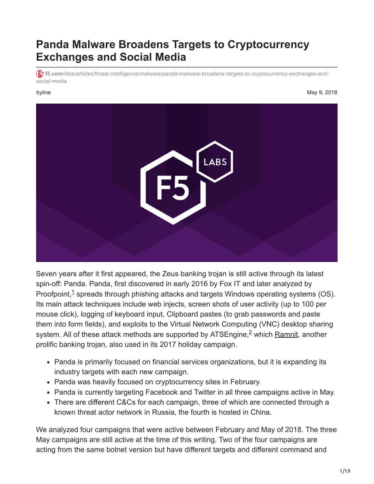### **Panda Malware Broadens Targets to Cryptocurrency Exchanges and Social Media**

**f5.com**[/labs/articles/threat-intelligence/malware/panda-malware-broadens-targets-to-cryptocurrency-exchanges-and](https://f5.com/labs/articles/threat-intelligence/malware/panda-malware-broadens-targets-to-cryptocurrency-exchanges-and-social-media)social-media

#### byline May 9, 2018



Seven years after it first appeared, the Zeus banking trojan is still active through its latest spin-off: Panda. Panda, first discovered in early 2016 by Fox IT and later analyzed by Proofpoint, $<sup>1</sup>$  spreads through phishing attacks and targets Windows operating systems (OS).</sup> Its main attack techniques include web injects, screen shots of user activity (up to 100 per mouse click), logging of keyboard input, Clipboard pastes (to grab passwords and paste them into form fields), and exploits to the Virtual Network Computing (VNC) desktop sharing system. All of these attack methods are supported by ATSEngine,<sup>2</sup> which [Ramnit,](https://f5.com/labs/articles/threat-intelligence/malware/ramnit-goes-on-a-holiday-shopping-spree-targeting-retailers-and-banks) another prolific banking trojan, also used in its 2017 holiday campaign.

- Panda is primarily focused on financial services organizations, but it is expanding its industry targets with each new campaign.
- Panda was heavily focused on cryptocurrency sites in February.
- Panda is currently targeting Facebook and Twitter in all three campaigns active in May.
- There are different C&Cs for each campaign, three of which are connected through a known threat actor network in Russia, the fourth is hosted in China.

We analyzed four campaigns that were active between February and May of 2018. The three May campaigns are still active at the time of this writing. Two of the four campaigns are acting from the same botnet version but have different targets and different command and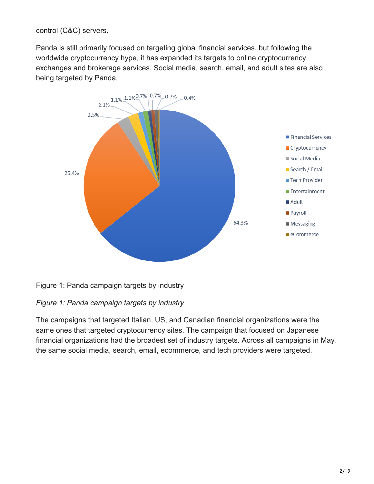control (C&C) servers.

Panda is still primarily focused on targeting global financial services, but following the worldwide cryptocurrency hype, it has expanded its targets to online cryptocurrency exchanges and brokerage services. Social media, search, email, and adult sites are also being targeted by Panda.



Figure 1: Panda campaign targets by industry

#### *Figure 1: Panda campaign targets by industry*

The campaigns that targeted Italian, US, and Canadian financial organizations were the same ones that targeted cryptocurrency sites. The campaign that focused on Japanese financial organizations had the broadest set of industry targets. Across all campaigns in May, the same social media, search, email, ecommerce, and tech providers were targeted.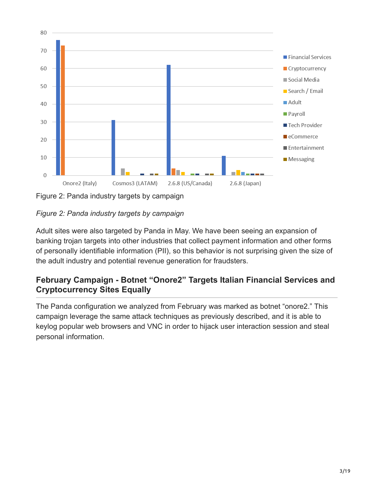

Figure 2: Panda industry targets by campaign

#### *Figure 2: Panda industry targets by campaign*

Adult sites were also targeted by Panda in May. We have been seeing an expansion of banking trojan targets into other industries that collect payment information and other forms of personally identifiable information (PII), so this behavior is not surprising given the size of the adult industry and potential revenue generation for fraudsters.

### **February Campaign - Botnet "Onore2" Targets Italian Financial Services and Cryptocurrency Sites Equally**

The Panda configuration we analyzed from February was marked as botnet "onore2." This campaign leverage the same attack techniques as previously described, and it is able to keylog popular web browsers and VNC in order to hijack user interaction session and steal personal information.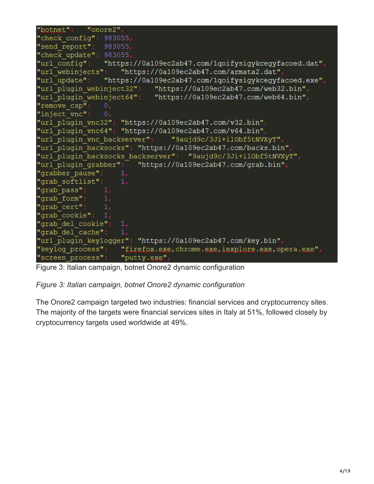```
"botnet":
            "onore2",
"check config": 983055,
"send report":
               983055,
"check update": 983055,
"url config":
                "https://0a109ec2ab47.com/1qoifysigykcegyfacoed.dat",
"url webinjects": "https://0a109ec2ab47.com/armata2.dat",
                "https://0a109ec2ab47.com/1qoifysigykcegyfacoed.exe",
"url update":
                          "https://0a109ec2ab47.com/web32.bin",
"url plugin webinject32":
"url_plugin_webinject64": "https://0a109ec2ab47.com/web64.bin",
"remove csp":
                0."inject vnc":
"url plugin vnc32": "https://0a109ec2ab47.com/v32.bin",
"url plugin vnc64": "https://0a109ec2ab47.com/v64.bin",
"url plugin vnc backserver": "9aujd9c/3Ji+ilObf5tNVXyT",
"url_plugin_backsocks": "https://0a109ec2ab47.com/backs.bin",
"url plugin backsocks backserver": "9aujd9c/3Ji+ilObf5tNVXyT",
"url plugin grabber": "https://0a109ec2ab47.com/grab.bin",
"grabber pause":
"grab softlist":
                   1,'grab pass":
"grab form":
'grab cert":
grab cookie": 1,
"grab del cookie": 1,
"grab del cache":
"url plugin keylogger": "https://0a109ec2ab47.com/key.bin",
"keylog_process":
                    "firefox.exe, chrome.exe, iexplore.exe, opera.exe",
"screen process": "putty.exe",
```
Figure 3: Italian campaign, botnet Onore2 dynamic configuration

#### *Figure 3: Italian campaign, botnet Onore2 dynamic configuration*

The Onore2 campaign targeted two industries: financial services and cryptocurrency sites. The majority of the targets were financial services sites in Italy at 51%, followed closely by cryptocurrency targets used worldwide at 49%.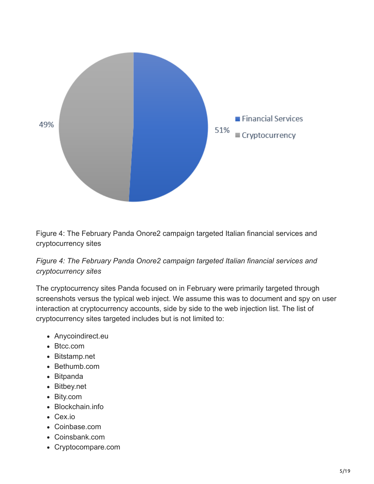

Figure 4: The February Panda Onore2 campaign targeted Italian financial services and cryptocurrency sites

*Figure 4: The February Panda Onore2 campaign targeted Italian financial services and cryptocurrency sites*

The cryptocurrency sites Panda focused on in February were primarily targeted through screenshots versus the typical web inject. We assume this was to document and spy on user interaction at cryptocurrency accounts, side by side to the web injection list. The list of cryptocurrency sites targeted includes but is not limited to:

- Anycoindirect.eu
- Btcc.com
- Bitstamp.net
- Bethumb.com
- Bitpanda
- Bitbey.net
- Bity.com
- Blockchain.info
- Cex.io
- Coinbase.com
- Coinsbank.com
- Cryptocompare.com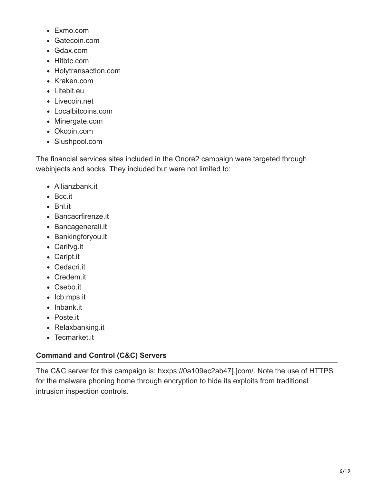- Exmo.com
- Gatecoin.com
- Gdax.com
- Hitbtc.com
- Holytransaction.com
- Kraken.com
- Litebit.eu
- Livecoin.net
- Localbitcoins.com
- Minergate.com
- Okcoin.com
- Slushpool.com

The financial services sites included in the Onore2 campaign were targeted through webinjects and socks. They included but were not limited to:

- Allianzbank.it
- Bcc.it
- Bnl.it
- Bancacrfirenze.it
- Bancagenerali.it
- Bankingforyou.it
- Carifvg.it
- Caript.it
- Cedacri.it
- Credem.it
- Csebo.it
- Icb.mps.it
- Inbank.it
- Poste.it
- Relaxbanking.it
- Tecmarket.it

### **Command and Control (C&C) Servers**

The C&C server for this campaign is: hxxps://0a109ec2ab47[.]com/. Note the use of HTTPS for the malware phoning home through encryption to hide its exploits from traditional intrusion inspection controls.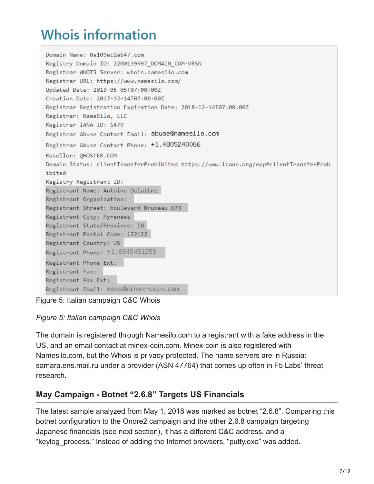### **Whois information**

```
Domain Name: 0a109ec2ab47.com
Registry Domain ID: 2200139597 DOMAIN COM-VRSN
Registrar WHOIS Server: whois.namesilo.com
Registrar URL: https://www.namesilo.com/
Updated Date: 2018-05-05T07:00:00Z
Creation Date: 2017-12-14T07:00:00Z
Registrar Registration Expiration Date: 2018-12-14T07:00:00Z
Registrar: NameSilo, LLC
Registrar IANA ID: 1479
Registrar Abuse Contact Email: abuse@namesilo.com
Registrar Abuse Contact Phone: +1.4805240066
Reseller: OHOSTER.COM
Domain Status: clientTransferProhibited https://www.icann.org/epp#clientTransferProh
ibited
Registry Registrant ID:
Registrant Name: Antoine Delattre
Registrant Organization:
Registrant Street: boulevard Bruneau 673
Registrant City: Pyrenees
Registrant State/Province: IN
Registrant Postal Code: 122122
Registrant Country: US
Registrant Phone: +1.6545451255
Registrant Phone Ext:
Registrant Fax:
Registrant Fax Ext:
Registrant Email: mavu@minex-coin.com
```
Figure 5: Italian campaign C&C Whois

*Figure 5: Italian campaign C&C Whois*

The domain is registered through Namesilo.com to a registrant with a fake address in the US, and an email contact at minex-coin.com. Minex-coin is also registered with Namesilo.com, but the Whois is privacy protected. The name servers are in Russia: samara.ens.mail.ru under a provider (ASN 47764) that comes up often in F5 Labs' threat research.

### **May Campaign - Botnet "2.6.8" Targets US Financials**

The latest sample analyzed from May 1, 2018 was marked as botnet "2.6.8". Comparing this botnet configuration to the Onore2 campaign and the other 2.6.8 campaign targeting Japanese financials (see next section), it has a different C&C address, and a "keylog\_process." Instead of adding the Internet browsers, "putty.exe" was added.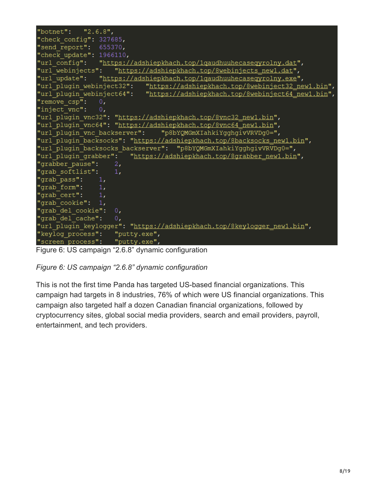```
"botnet":
            "2.6.8","check config": 327685,
"send report": 655370,
"check update": 1966110,
"url config":
                "https://adshiepkhach.top/1qaudhuuhecaseqyrolny.dat",
"url webinjects":
                    "https://adshiepkhach.top/8webinjects_new1.dat",
"url update":
                "https://adshiepkhach.top/1qaudhuuhecaseqyrolny.exe",
"url plugin webinject32":
                            "https://adshiepkhach.top/8webinject32 new1.bin",
"url_plugin_webinject64":
                            "https://adshiepkhach.top/8webinject64 new1.bin",
"remove csp":
                0."inject_vnc":
                0<sub>r</sub>"url plugin vnc32": "https://adshiepkhach.top/8vnc32 new1.bin",
"url plugin vnc64": "https://adshiepkhach.top/8vnc64 newl.bin"
"url plugin vnc backserver":
                                "p8bYQMGmXIahkiYgghgivVRVDg0=",
"url plugin backsocks": "https://adshiepkhach.top/8backsocks new1.bin",
"url plugin backsocks backserver":
                                    "p8bYQMGmXIahkiYgghgivVRVDg0=",
"url plugin grabber":
                        "https://adshiepkhach.top/8grabber new1.bin",
"grabber pause":
                    2,"grab softlist":
                    1,"grab pass":
                1,"grab form":
"grab cert":
"grab cookie":
               1,"grab del cookie": 0,
"grab del cache":
                    0,"url plugin keylogger": "https://adshiepkhach.top/8keylogger new1.bin",
"keylog process":
                    "putty.exe",
                  "putty.exe",
"screen process":
```
Figure 6: US campaign "2.6.8" dynamic configuration

*Figure 6: US campaign "2.6.8" dynamic configuration*

This is not the first time Panda has targeted US-based financial organizations. This campaign had targets in 8 industries, 76% of which were US financial organizations. This campaign also targeted half a dozen Canadian financial organizations, followed by cryptocurrency sites, global social media providers, search and email providers, payroll, entertainment, and tech providers.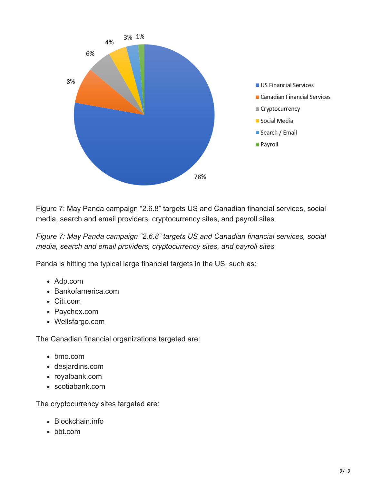

Figure 7: May Panda campaign "2.6.8" targets US and Canadian financial services, social media, search and email providers, cryptocurrency sites, and payroll sites

*Figure 7: May Panda campaign "2.6.8" targets US and Canadian financial services, social media, search and email providers, cryptocurrency sites, and payroll sites*

Panda is hitting the typical large financial targets in the US, such as:

- Adp.com
- Bankofamerica.com
- Citi.com
- Paychex.com
- Wellsfargo.com

The Canadian financial organizations targeted are:

- bmo.com
- desjardins.com
- royalbank.com
- scotiabank.com

The cryptocurrency sites targeted are:

- Blockchain.info
- bbt.com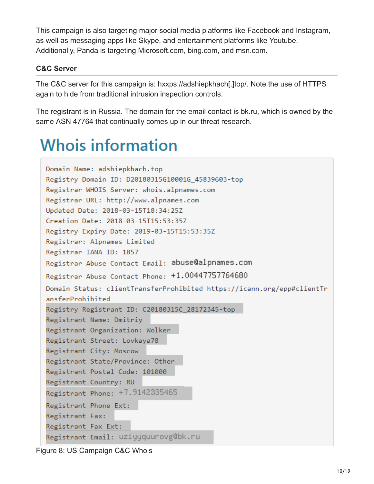This campaign is also targeting major social media platforms like Facebook and Instagram, as well as messaging apps like Skype, and entertainment platforms like Youtube. Additionally, Panda is targeting Microsoft.com, bing.com, and msn.com.

#### **C&C Server**

The C&C server for this campaign is: hxxps://adshiepkhach[.]top/. Note the use of HTTPS again to hide from traditional intrusion inspection controls.

The registrant is in Russia. The domain for the email contact is bk.ru, which is owned by the same ASN 47764 that continually comes up in our threat research.

### **Whois information**

```
Domain Name: adshiepkhach.top
Registry Domain ID: D20180315G10001G 45839603-top
Registrar WHOIS Server: whois.alpnames.com
Registrar URL: http://www.alpnames.com
Updated Date: 2018-03-15T18:34:25Z
Creation Date: 2018-03-15T15:53:35Z
Registry Expiry Date: 2019-03-15T15:53:35Z
Registrar: Alpnames Limited
Registrar IANA ID: 1857
Registrar Abuse Contact Email: abuse@alpnames.com
Registrar Abuse Contact Phone: +1.00447757764680
Domain Status: clientTransferProhibited https://icann.org/epp#clientTr
ansferProhibited
Registry Registrant ID: C20180315C_28172345-top
Registrant Name: Dmitriy
Registrant Organization: Wolker
Registrant Street: Lovkaya78
Registrant City: Moscow
Registrant State/Province: Other
Registrant Postal Code: 101000
Registrant Country: RU
Registrant Phone: +7.9142335465
Registrant Phone Ext:
Registrant Fax:
Registrant Fax Ext:
Registrant Email: uziyyquurovg@bk.ru
```

```
Figure 8: US Campaign C&C Whois
```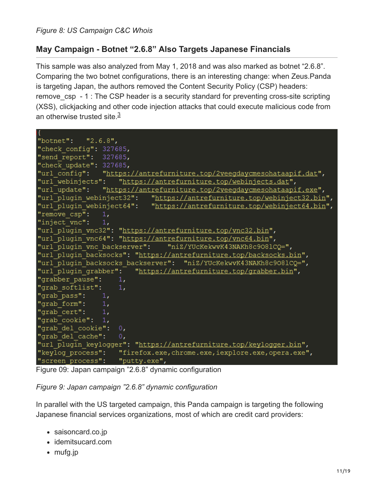#### **May Campaign - Botnet "2.6.8" Also Targets Japanese Financials**

This sample was also analyzed from May 1, 2018 and was also marked as botnet "2.6.8". Comparing the two botnet configurations, there is an interesting change: when Zeus.Panda is targeting Japan, the authors removed the Content Security Policy (CSP) headers: remove csp - 1 : The CSP header is a security standard for preventing cross-site scripting (XSS), clickjacking and other code injection attacks that could execute malicious code from an otherwise trusted site.<sup>3</sup>

```
"botnet":
           "2.6.8","check config": 327685,
"send report": 327685,
"check update": 327685,
"url config":
               "https://antrefurniture.top/2veegdaycmesohataapif.dat",
"url webinjects": "https://antrefurniture.top/webinjects.dat",
"url update": "https://antrefurniture.top/2veegdaycmesohataapif.exe",
"url plugin webinject32":
                            "https://antrefurniture.top/webinject32.bin",
                            "https://antrefurniture.top/webinject64.bin",
"url plugin webinject64":
"remove csp":
                1,"inject vnc":
                1,"url plugin vnc32": "https://antrefurniture.top/vnc32.bin",
"url plugin vnc64": "https://antrefurniture.top/vnc64.bin",
"url plugin vnc backserver": "niZ/YUCKekwvK43NAKh8c9081CQ=",
"url plugin backsocks": "https://antrefurniture.top/backsocks.bin",
"url plugin backsocks backserver": "niZ/YUCKekwvK43NAKh8c9081CQ=",
"url plugin grabber":
                       "https://antrefurniture.top/grabber.bin",
"grabber pause":
                    1,"grab softlist":
                    1,"grab pass":
                1,"grab form":
                1,"grab cert":
                1,"grab cookie":
                1<sub>r</sub>"grab del cookie": 0,
"grab del cache":
                   \overline{\ } 0,
"url plugin keylogger": "https://antrefurniture.top/keylogger.bin",
"keylog process":
                    "firefox.exe, chrome.exe, iexplore.exe, opera.exe",
"screen process": "putty.exe",
```
Figure 09: Japan campaign "2.6.8" dynamic configuration

*Figure 9: Japan campaign "2.6.8" dynamic configuration*

In parallel with the US targeted campaign, this Panda campaign is targeting the following Japanese financial services organizations, most of which are credit card providers:

- saisoncard.co.jp
- idemitsucard.com
- mufg.jp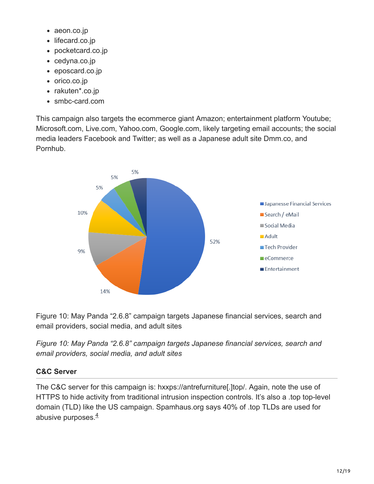- aeon.co.jp
- lifecard.co.jp
- pocketcard.co.jp
- cedyna.co.jp
- eposcard.co.jp
- orico.co.jp
- rakuten\*.co.jp
- smbc-card.com

This campaign also targets the ecommerce giant Amazon; entertainment platform Youtube; Microsoft.com, Live.com, Yahoo.com, Google.com, likely targeting email accounts; the social media leaders Facebook and Twitter; as well as a Japanese adult site Dmm.co, and Pornhub.



Figure 10: May Panda "2.6.8" campaign targets Japanese financial services, search and email providers, social media, and adult sites

*Figure 10: May Panda "2.6.8" campaign targets Japanese financial services, search and email providers, social media, and adult sites*

#### **C&C Server**

The C&C server for this campaign is: hxxps://antrefurniture[.]top/. Again, note the use of HTTPS to hide activity from traditional intrusion inspection controls. It's also a .top top-level domain (TLD) like the US campaign. Spamhaus.org says 40% of .top TLDs are used for abusive purposes. $\frac{4}{3}$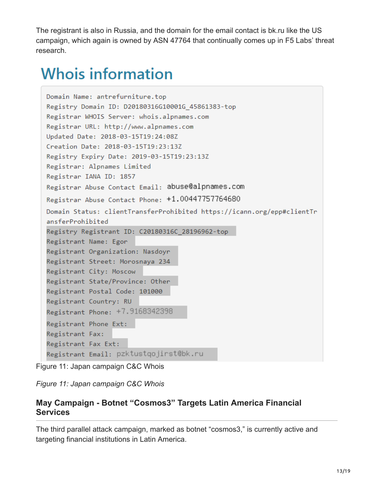The registrant is also in Russia, and the domain for the email contact is bk.ru like the US campaign, which again is owned by ASN 47764 that continually comes up in F5 Labs' threat research.

## **Whois information**

```
Domain Name: antrefurniture.top
Registry Domain ID: D20180316G10001G 45861383-top
Registrar WHOIS Server: whois.alpnames.com
Registrar URL: http://www.alpnames.com
Updated Date: 2018-03-15T19:24:08Z
Creation Date: 2018-03-15T19:23:13Z
Registry Expiry Date: 2019-03-15T19:23:13Z
Registrar: Alpnames Limited
Registrar IANA ID: 1857
Registrar Abuse Contact Email: abuse@alpnames.com
Registrar Abuse Contact Phone: +1.00447757764680
Domain Status: clientTransferProhibited https://icann.org/epp#clientTr
ansferProhibited
Registry Registrant ID: C20180316C_28196962-top
Registrant Name: Egor
Registrant Organization: Nasdoyr
Registrant Street: Morosnaya 234
Registrant City: Moscow
Registrant State/Province: Other
Registrant Postal Code: 101000
Registrant Country: RU
Registrant Phone: +7.9168342398
Registrant Phone Ext:
Registrant Fax:
Registrant Fax Ext:
Registrant Email: pzktustqojirst@bk.ru
```
Figure 11: Japan campaign C&C Whois

*Figure 11: Japan campaign C&C Whois*

#### **May Campaign - Botnet "Cosmos3" Targets Latin America Financial Services**

The third parallel attack campaign, marked as botnet "cosmos3," is currently active and targeting financial institutions in Latin America.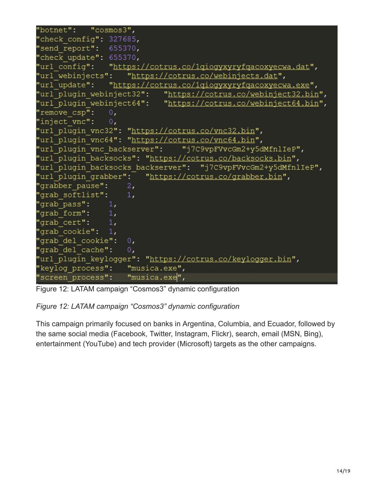```
"cosmos3",
'botnet":
"check config": 327685,
send report": 655370,
"check update": 655370,
                 "https://cotrus.co/lgiogyxyryfgacoxyecwa.dat",
'url confiq":
                     "https://cotrus.co/webinjects.dat",
'url webinjects":
                "https://cotrus.co/lgiogyxyryfgacoxyecwa.exe",
'url update":
"url plugin webinject32":
                             "https://cotrus.co/webinject32.bin",
                             "https://cotrus.co/webinject64.bin",
"url plugin webinject64":
'remove csp":
                0."inject vnc":
                0<sub>r</sub>url plugin vnc32": "https://cotrus.co/vnc32.bin",
"url_plugin_vnc64": "https://cotrus.co/vnc64.bin",
                                  "j7C9vpFVvcGm2+y5dMfnlIeP",
'url plugin vnc backserver":
"url plugin backsocks": "https://cotrus.co/backsocks.bin",
'url plugin backsocks backserver": "j7C9vpFVvcGm2+y5dMfnlIeP",
url plugin grabber":
                         "https://cotrus.co/grabber.bin",
'grabber pause":
                     2,
grab softlist":
                     1,
'grab pass":
                1,
grab form":
                1,grab cert":
                1,
'grab cookie":
                1<sub>t</sub>grab del cookie":
                     0<sub>r</sub>'grab del cache":
                     0<sub>r</sub>'url plugin keylogger": "https://cotrus.co/keylogger.bin",
"keylog process":
                     "musica.exe",
"screen process":
                     "musica.exe",
```
Figure 12: LATAM campaign "Cosmos3" dynamic configuration

#### *Figure 12: LATAM campaign "Cosmos3" dynamic configuration*

This campaign primarily focused on banks in Argentina, Columbia, and Ecuador, followed by the same social media (Facebook, Twitter, Instagram, Flickr), search, email (MSN, Bing), entertainment (YouTube) and tech provider (Microsoft) targets as the other campaigns.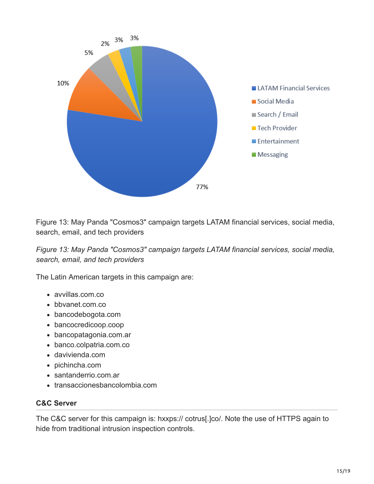

Figure 13: May Panda "Cosmos3" campaign targets LATAM financial services, social media, search, email, and tech providers

*Figure 13: May Panda "Cosmos3" campaign targets LATAM financial services, social media, search, email, and tech providers*

The Latin American targets in this campaign are:

- avvillas.com.co
- bbvanet.com.co
- bancodebogota.com
- bancocredicoop.coop
- bancopatagonia.com.ar
- banco.colpatria.com.co
- davivienda.com
- pichincha.com
- santanderrio.com.ar
- transaccionesbancolombia.com

#### **C&C Server**

The C&C server for this campaign is: hxxps:// cotrus[.]co/. Note the use of HTTPS again to hide from traditional intrusion inspection controls.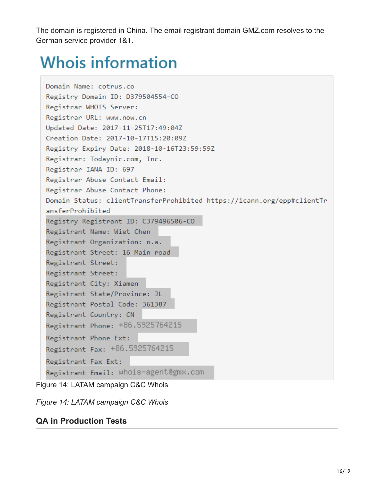The domain is registered in China. The email registrant domain GMZ.com resolves to the German service provider 1&1.

# **Whois information**

```
Domain Name: cotrus.co
Registry Domain ID: D379504554-CO
Registrar WHOIS Server:
Registrar URL: www.now.cn
Updated Date: 2017-11-25T17:49:04Z
Creation Date: 2017-10-17T15:20:09Z
Registry Expiry Date: 2018-10-16T23:59:59Z
Registrar: Todaynic.com, Inc.
Registrar IANA ID: 697
Registrar Abuse Contact Email:
Registrar Abuse Contact Phone:
Domain Status: clientTransferProhibited https://icann.org/epp#clientTr
ansferProhibited
Registry Registrant ID: C379496506-CO
Registrant Name: Wiet Chen
Registrant Organization: n.a.
Registrant Street: 16 Main road
Registrant Street:
Registrant Street:
Registrant City: Xiamen
Registrant State/Province: JL
Registrant Postal Code: 361387
Registrant Country: CN
Registrant Phone: +86.5925764215
Registrant Phone Ext:
Registrant Fax: +86.5925764215
Registrant Fax Ext:
Registrant Email: whois-agent@gmx.com
```
Figure 14: LATAM campaign C&C Whois

*Figure 14: LATAM campaign C&C Whois*

### **QA in Production Tests**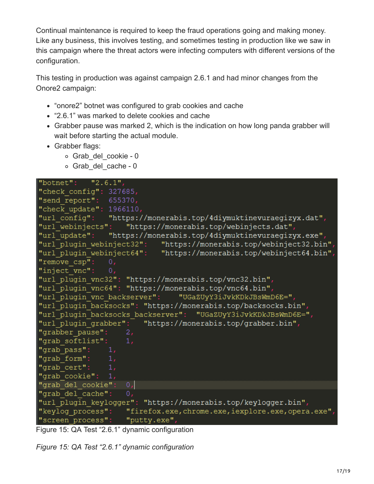Continual maintenance is required to keep the fraud operations going and making money. Like any business, this involves testing, and sometimes testing in production like we saw in this campaign where the threat actors were infecting computers with different versions of the configuration.

This testing in production was against campaign 2.6.1 and had minor changes from the Onore2 campaign:

- "onore2" botnet was configured to grab cookies and cache
- "2.6.1" was marked to delete cookies and cache
- Grabber pause was marked 2, which is the indication on how long panda grabber will wait before starting the actual module.
- Grabber flags:
	- o Grab del cookie 0
	- o Grab del cache 0

```
"botnet":
           "2.6.1""check config": 327685,
"send report":
                655370,
"check update": 1966110,
"url config":
                "https://monerabis.top/4diymuktinevuraegizyx.dat",
                    "https://monerabis.top/webinjects.dat",
"url webinjects":
                "https://monerabis.top/4diymuktinevuraeqizyx.exe",
"url update":
"url plugin webinject32":
                           "https://monerabis.top/webinject32.bin"
"url plugin webinject64":
                           "https://monerabis.top/webinject64.bin",
"remove csp":
"inject vnc":
               0,"url plugin vnc32": "https://monerabis.top/vnc32.bin",
"url plugin vnc64": "https://monerabis.top/vnc64.bin",
"url plugin vnc backserver": "UGaZUyY3iJvkKDkJBsWmD6E=",
"url plugin backsocks": "https://monerabis.top/backsocks.bin",
"url plugin backsocks backserver": "UGaZUyY3iJvkKDkJBsWmD6E=",
"url_plugin_grabber": "https://monerabis.top/grabber.bin",
"grabber pause":
"grab softlist":
                   1,"grab pass":
                1,
"grab form":
"grab cert":
               1,"grab cookie": 1,
"grab del cookie":
                    0,"grab del cache":
                   0,"url plugin keylogger": "https://monerabis.top/keylogger.bin",
"keylog process":
                    "firefox.exe, chrome.exe, iexplore.exe, opera.exe"
"screen process":
                   "putty.exe",
```
Figure 15: QA Test "2.6.1" dynamic configuration

*Figure 15: QA Test "2.6.1" dynamic configuration*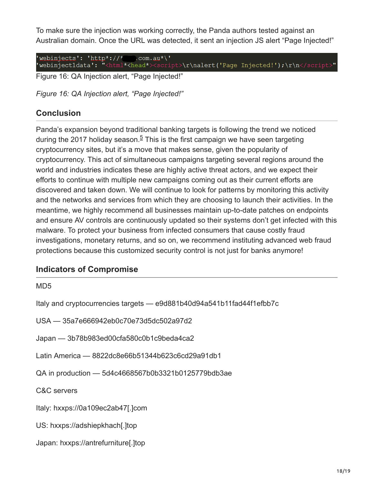To make sure the injection was working correctly, the Panda authors tested against an Australian domain. Once the URL was detected, it sent an injection JS alert "Page Injected!"

'webinjects': 'http\*://\*\_\_\_.com.au\*\'<br>'webinject1data': "<html\*<head\*><script>\r\nalert('Page Injected!');\r\n</script

Figure 16: QA Injection alert, "Page Injected!"

*Figure 16: QA Injection alert, "Page Injected!"*

#### **Conclusion**

Panda's expansion beyond traditional banking targets is following the trend we noticed during the 2017 holiday season. $5$  This is the first campaign we have seen targeting cryptocurrency sites, but it's a move that makes sense, given the popularity of cryptocurrency. This act of simultaneous campaigns targeting several regions around the world and industries indicates these are highly active threat actors, and we expect their efforts to continue with multiple new campaigns coming out as their current efforts are discovered and taken down. We will continue to look for patterns by monitoring this activity and the networks and services from which they are choosing to launch their activities. In the meantime, we highly recommend all businesses maintain up-to-date patches on endpoints and ensure AV controls are continuously updated so their systems don't get infected with this malware. To protect your business from infected consumers that cause costly fraud investigations, monetary returns, and so on, we recommend instituting advanced web fraud protections because this customized security control is not just for banks anymore!

#### **Indicators of Compromise**

MD5

Italy and cryptocurrencies targets — e9d881b40d94a541b11fad44f1efbb7c

USA — 35a7e666942eb0c70e73d5dc502a97d2

Japan — 3b78b983ed00cfa580c0b1c9beda4ca2

Latin America — 8822dc8e66b51344b623c6cd29a91db1

QA in production — 5d4c4668567b0b3321b0125779bdb3ae

C&C servers

Italy: hxxps://0a109ec2ab47[.]com

US: hxxps://adshiepkhach[.]top

Japan: hxxps://antrefurniture[.]top